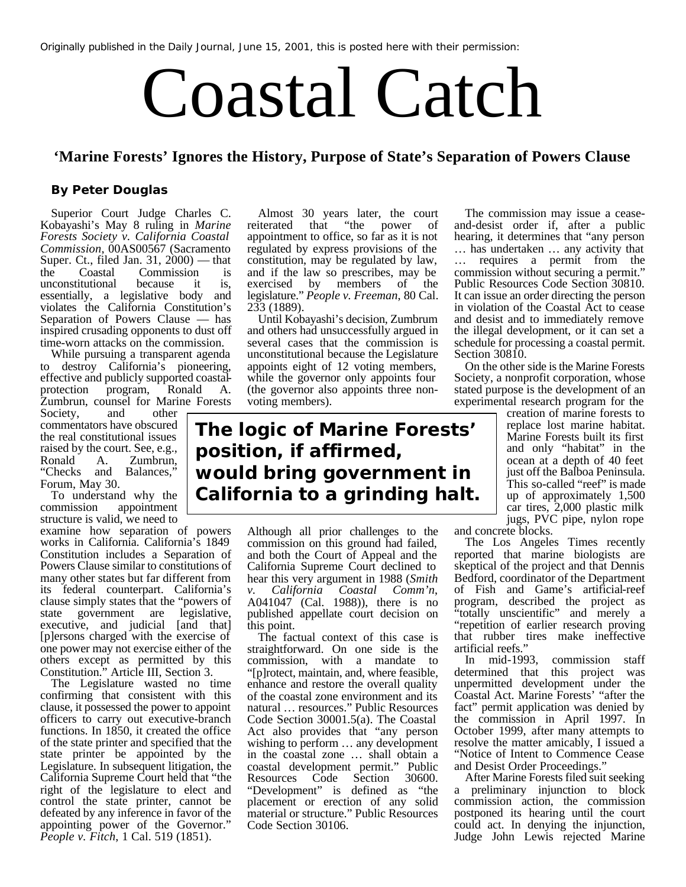Originally published in the *Daily Journal*, June 15, 2001, this is posted here with their permission:

## Coastal Catch

## **'Marine Forests' Ignores the History, Purpose of State's Separation of Powers Clause**

## **By Peter Douglas**

Superior Court Judge Charles C. Kobayashi's May 8 ruling in *Marine Forests Society v. California Coastal Commission*, 00AS00567 (Sacramento Super. Ct., filed Jan. 31, 2000) — that the Coastal Commission is unconstitutional because it is, essentially, a legislative body and violates the California Constitution's Separation of Powers Clause — has inspired crusading opponents to dust off time-worn attacks on the commission.

While pursuing a transparent agenda to destroy California's pioneering, effective and publicly supported coastalprotection program, Ronald A. Zumbrun, counsel for Marine Forests

Society, and other commentators have obscured the real constitutional issues raised by the court. See, e.g., Ronald A. Zumbrun, "Checks and Balances," Forum, May 30.

To understand why the commission appointment structure is valid, we need to

examine how separation of powers works in California. California's 1849 Constitution includes a Separation of Powers Clause similar to constitutions of many other states but far different from its federal counterpart. California's clause simply states that the "powers of state government are legislative, executive, and judicial [and that] [p]ersons charged with the exercise of one power may not exercise either of the others except as permitted by this Constitution." Article III, Section 3.

The Legislature wasted no time confirming that consistent with this clause, it possessed the power to appoint officers to carry out executive-branch functions. In 1850, it created the office of the state printer and specified that the state printer be appointed by the Legislature. In subsequent litigation, the California Supreme Court held that "the right of the legislature to elect and control the state printer, cannot be defeated by any inference in favor of the appointing power of the Governor." *People v. Fitch*, 1 Cal. 519 (1851).

Almost 30 years later, the court reiterated that "the power of appointment to office, so far as it is not regulated by express provisions of the constitution, may be regulated by law, and if the law so prescribes, may be exercised by members of the legislature." *People v. Freeman*, 80 Cal. 233 (1889).

Until Kobayashi's decision, Zumbrum and others had unsuccessfully argued in several cases that the commission is unconstitutional because the Legislature appoints eight of 12 voting members, while the governor only appoints four (the governor also appoints three nonvoting members).

## **The logic of Marine Forests' position, if affirmed, would bring government in California to a grinding halt.**

Although all prior challenges to the commission on this ground had failed, and both the Court of Appeal and the California Supreme Court declined to hear this very argument in 1988 (*Smith v. California Coastal Comm'n*, A041047 (Cal. 1988)), there is no published appellate court decision on this point.

The factual context of this case is straightforward. On one side is the commission, with a mandate to "[p]rotect, maintain, and, where feasible, enhance and restore the overall quality of the coastal zone environment and its natural … resources." Public Resources Code Section 30001.5(a). The Coastal Act also provides that "any person wishing to perform … any development in the coastal zone … shall obtain a coastal development permit." Public Resources Code Section 30600. "Development" is defined as "the placement or erection of any solid material or structure." Public Resources Code Section 30106.

The commission may issue a ceaseand-desist order if, after a public hearing, it determines that "any person … has undertaken … any activity that … requires a permit from the commission without securing a permit." Public Resources Code Section 30810. It can issue an order directing the person in violation of the Coastal Act to cease and desist and to immediately remove the illegal development, or it can set a schedule for processing a coastal permit. Section 30810.

On the other side is the Marine Forests Society, a nonprofit corporation, whose stated purpose is the development of an experimental research program for the

> creation of marine forests to replace lost marine habitat. Marine Forests built its first and only "habitat" in the ocean at a depth of 40 feet just off the Balboa Peninsula. This so-called "reef" is made up of approximately 1,500 car tires, 2,000 plastic milk jugs, PVC pipe, nylon rope

and concrete blocks.

The Los Angeles Times recently reported that marine biologists are skeptical of the project and that Dennis Bedford, coordinator of the Department of Fish and Game's artificial-reef program, described the project as "totally unscientific" and merely a "repetition of earlier research proving that rubber tires make ineffective artificial reefs."

In mid-1993, commission staff determined that this project was unpermitted development under the Coastal Act. Marine Forests' "after the fact" permit application was denied by the commission in April 1997. In October 1999, after many attempts to resolve the matter amicably, I issued a "Notice of Intent to Commence Cease and Desist Order Proceedings."

After Marine Forests filed suit seeking a preliminary injunction to block commission action, the commission postponed its hearing until the court could act. In denying the injunction, Judge John Lewis rejected Marine